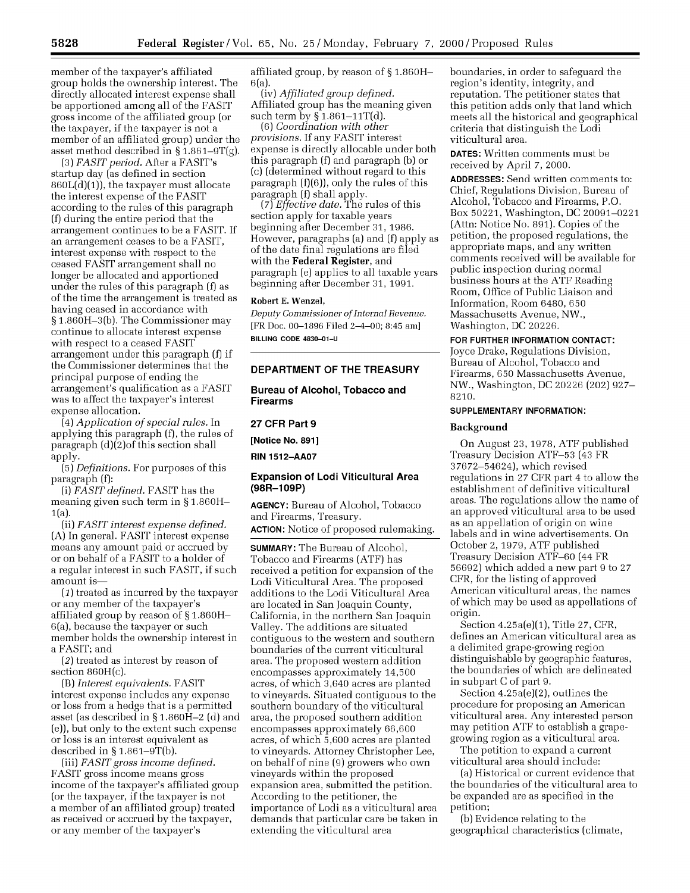member of the taxpayer's affiliated group holds the ownership interest. The directly allocated interest expense shall be apportioned among all of the FASIT gross income of the affiliated group (or the taxpayer, if the taxpayer is not a member of an affiliated group) under the asset method described in **§** 1.861-9T(g).

(3) *FASIT period.* After a FASIT's startup day (as defined in section 860L(d)(1)), the taxpayer must allocate the interest expense of the FASIT according to the rules of this paragraph (f) during the entire period that the arrangement continues to be a FASIT. If an arrangement ceases to be a FASIT, interest expense with respect to the ceased FASIT arrangement shall no longer be allocated and apportioned under the rules of this paragraph (f) as of the time the arrangement is treated as having ceased in accordance with **§** 1.860H-3(b). The Commissioner may continue to allocate interest expense with respect to a ceased FASIT arrangement under this paragraph (f) if the Commissioner determines that the principal purpose of ending the arrangement's qualification as a FASIT was to affect the taxpayer's interest expense allocation.

*(4) Application of special rules.* In applying this paragraph (f), the rules of paragraph (d)(2)of this section shall apply.

(5) *Definitions.* For purposes of this paragraph (f):

(i) *FASIT defined.* FASIT has the meaning given such term in **§** 1.860H-1(a).

(ii) *FASIT interest expense defined.* (A) In general. FASIT interest expense means any amount paid or accrued by or on behalf of a FASIT to a holder of a regular interest in such FASIT, if such amount is-

*(1)* treated as incurred by the taxpayer or any member of the taxpayer's affiliated group by reason of **§** 1.860H-6(a), because the taxpayer or such member holds the ownership interest in a FASIT; and

*(2)* treated as interest by reason of section 860H(c).

(B) *Interest equivalents.* FASIT interest expense includes any expense or loss from a hedge that is a permitted asset (as described in **§** 1.860H-2 (d) and (e)), but only to the extent such expense or loss is an interest equivalent as described in **§** 1.861-9T(b).

(iii) *FASIT gross income defined.* FASIT gross income means gross income of the taxpayer's affiliated group (or the taxpayer, if the taxpayer is not a member of an affiliated group) treated as received or accrued by the taxpayer, or any member of the taxpayer's

affiliated group, by reason of **§** 1.860H-6(a).

(iv) *Affiliated group defined.* Affiliated group has the meaning given such term by **§** 1.861-1iT(d).

(6) *Coordination with other provisions.* If any FASIT interest expense is directly allocable under both this paragraph (f) and paragraph (b) or (c) (determined without regard to this paragraph (f)(6)), only the rules of this paragraph (f) shall apply.

*(7) Effective date.* The rules of this section apply for taxable years beginning after December 31, 1986. However, paragraphs (a) and (f) apply as of the date final regulations are filed with the Federal Register, and paragraph (e) applies to all taxable years beginning after December 31, 1991.

### Robert **E.** Wenzel,

*Deputy Commissioner of Internal Revenue.* [FR Doc. **00-1896** Filed 2-4-00; 8:45 am] **BILLING CODE 4830-01-U**

## **DEPARTMENT OF THE TREASURY**

**Bureau of Alcohol, Tobacco and Firearms**

# **27 CFR Part 9**

**[Notice No. 891]**

**RIN 1512-AA07**

## **Expansion of Lodi Viticultural Area (98R-109P)**

**AGENCY:** Bureau of Alcohol, Tobacco and Firearms, Treasury. **ACTION:** Notice of proposed rulemaking.

**SUMMARY:** The Bureau of Alcohol, Tobacco and Firearms (ATF) has received a petition for expansion of the Lodi Viticultural Area. The proposed additions to the Lodi Viticultural Area are located in San Joaquin County, California, in the northern San Joaquin Valley. The additions are situated contiguous to the western and southern boundaries of the current viticultural area. The proposed western addition encompasses approximately 14,500 acres, of which 3,640 acres are planted to vineyards. Situated contiguous to the southern boundary of the viticultural area, the proposed southern addition encompasses approximately 66,600 acres, of which 5,600 acres are planted to vineyards. Attorney Christopher Lee, on behalf of nine (9) growers who own vineyards within the proposed expansion area, submitted the petition. According to the petitioner, the importance of Lodi as a viticultural area demands that particular care be taken in extending the viticultural area

boundaries, in order to safeguard the region's identity, integrity, and reputation. The petitioner states that this petition adds only that land which meets all the historical and geographical criteria that distinguish the Lodi viticultural area.

**DATES:** Written comments must be received by April *7,* 2000.

**ADDRESSES:** Send written comments to: Chief, Regulations Division, Bureau of Alcohol, Tobacco and Firearms, P.O. Box 50221, Washington, DC 20091-0221 (Attn: Notice No. 891). Copies of the petition, the proposed regulations, the appropriate maps, and any written comments received will be available for public inspection during normal business hours at the **ATF** Reading Room, Office of Public Liaison and Information, Room 6480, 650 Massachusetts Avenue, NW., Washington, DC 20226.

**FOR FURTHER INFORMATION CONTACT:**

Joyce Drake, Regulations Division, Bureau of Alcohol, Tobacco and Firearms, 650 Massachusetts Avenue, NW., Washington, DC 20226 (202) 927- 8210.

#### **SUPPLEMENTARY INFORMATION:**

#### **Background**

On August 23, 1978, ATF published Treasury Decision ATF-53 (43 FR 37672-54624), which revised regulations in 27 CFR part 4 to allow the establishment of definitive viticultural areas. The regulations allow the name of an approved viticultural area to be used as an appellation of origin on wine labels and in wine advertisements. On October 2, 1979, ATF published Treasury Decision **ATF-60** (44 FR 56692) which added a new part 9 to 27 CFR, for the listing of approved American viticultural areas, the names of which may be used as appellations of origin.

Section 4.25a(e)(1), Title 27, CFR, defines an American viticultural area as a delimited grape-growing region distinguishable by geographic features, the boundaries of which are delineated in subpart C of part 9.

Section 4.25a(e)(2), outlines the procedure for proposing an American viticultural area. Any interested person may petition ATF to establish a grapegrowing region as a viticultural area.

The petition to expand a current viticultural area should include:

(a) Historical or current evidence that the boundaries of the viticultural area to be expanded are as specified in the petition;

(b) Evidence relating to the geographical characteristics (climate,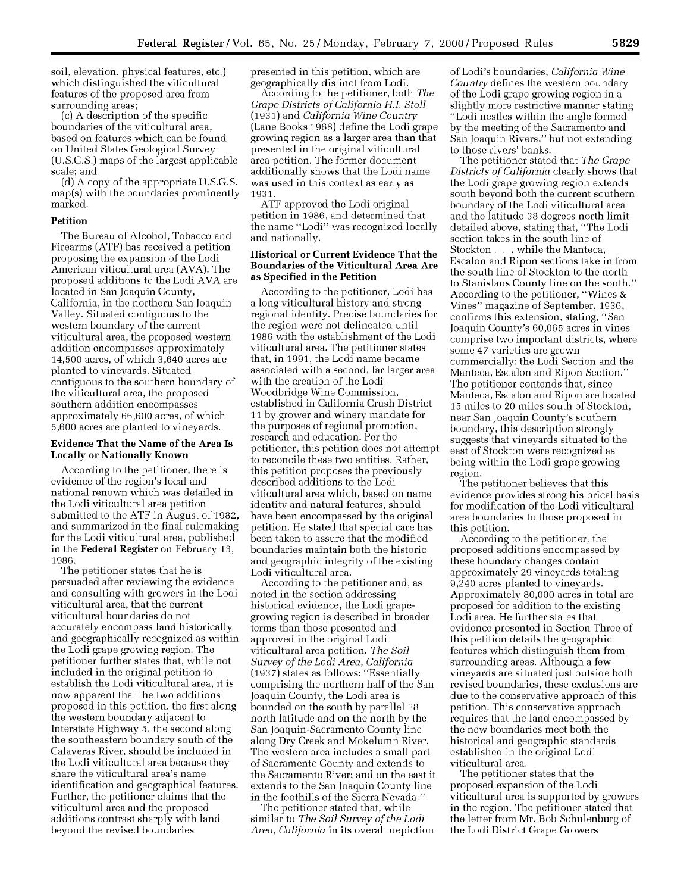soil, elevation, physical features, etc.) which distinguished the viticultural features of the proposed area from surrounding areas;

(c) A description of the specific boundaries of the viticultural area, based on features which can be found on United States Geological Survey (U.S.G.S.) maps of the largest applicable scale; and

(d) A copy of the appropriate U.S.G.S. map(s) with the boundaries prominently marked.

### **Petition**

The Bureau of Alcohol, Tobacco and Firearms (ATF) has received a petition proposing the expansion of the Lodi American viticultural area (AVA). The proposed additions to the Lodi AVA are located in San Joaquin County, California, in the northern San Joaquin Valley. Situated contiguous to the western boundary of the current viticultural area, the proposed western addition encompasses approximately 14,500 acres, of which 3,640 acres are planted to vineyards. Situated contiguous to the southern boundary of the viticultural area, the proposed southern addition encompasses approximately 66,600 acres, of which 5,600 acres are planted to vineyards.

## **Evidence That the** Name of the Area Is **Locally or Nationally Known**

According to the petitioner, there is evidence of the region's local and national renown which was detailed in the Lodi viticultural area petition submitted to the ATF in August of 1982, and summarized in the final rulemaking for the Lodi viticultural area, published in the Federal Register on February 13, 1986.

The petitioner states that he is persuaded after reviewing the evidence and consulting with growers in the Lodi viticultural area, that the current viticultural boundaries do not accurately encompass land historically and geographically recognized as within the Lodi grape growing region. The petitioner further states that, while not included in the original petition to establish the Lodi viticultural area, it is now apparent that the two additions proposed in this petition, the first along the western boundary adjacent to Interstate Highway 5, the second along the southeastern boundary south of the Calaveras River, should be included in the Lodi viticultural area because they share the viticultural area's name identification and geographical features. Further, the petitioner claims that the viticultural area and the proposed additions contrast sharply with land beyond the revised boundaries

presented in this petition, which are geographically distinct from Lodi.

According to the petitioner, both *The Grape Districts of California H.L Stoll* (1931) and *California Wine Country* (Lane Books 1968) define the Lodi grape growing region as a larger area than that presented in the original viticultural area petition. The former document additionally shows that the Lodi name was used in this context as early as 1931.

ATF approved the Lodi original petition in 1986, and determined that the name "Lodi" was recognized locally and nationally.

### **Historical or Current Evidence That the Boundaries of the Viticultural Area Are as Specified in the Petition**

According to the petitioner, Lodi has a long viticultural history and strong regional identity. Precise boundaries for the region were not delineated until 1986 with the establishment of the Lodi viticultural area. The petitioner states that, in 1991, the Lodi name became associated with a second, far larger area with the creation of the Lodi-Woodbridge Wine Commission, established in California Crush District 11 by grower and winery mandate for the purposes of regional promotion, research and education. Per the petitioner, this petition does not attempt to reconcile these two entities. Rather, this petition proposes the previously described additions to the Lodi viticultural area which, based on name identity and natural features, should have been encompassed by the original petition. He stated that special care has been taken to assure that the modified boundaries maintain both the historic and geographic integrity of the existing Lodi viticultural area.

According to the petitioner and, as noted in the section addressing historical evidence, the Lodi grapegrowing region is described in broader terms than those presented and approved in the original Lodi viticultural area petition. *The Soil Survey of the Lodi Area, California* (1937) states as follows: "Essentially comprising the northern half of the San Joaquin County, the Lodi area is bounded on the south by parallel 38 north latitude and on the north by the San Joaquin-Sacramento County line along Dry Creek and Mokelumn River. The western area includes a small part of Sacramento County and extends to the Sacramento River; and on the east it extends to the San Joaquin County line in the foothills of the Sierra Nevada."

The petitioner stated that, while similar to *The Soil Survey of the Lodi Area, California* in its overall depiction of Lodi's boundaries, *California Wine Country* defines the western boundary of the Lodi grape growing region in a slightly more restrictive manner stating "Lodi nestles within the angle formed by the meeting of the Sacramento and San Joaquin Rivers," but not extending to those rivers' banks.

The petitioner stated that *The Grape Districts of California* clearly shows that the Lodi grape growing region extends south beyond both the current southern boundary of the Lodi viticultural area and the latitude 38 degrees north limit detailed above, stating that, "The Lodi section takes in the south line of Stockton **. .** . while the Manteca, Escalon and Ripon sections take in from the south line of Stockton to the north to Stanislaus County line on the south." According to the petitioner, "Wines & Vines" magazine of September, 1936, confirms this extension, stating, "San Joaquin County's 60,065 acres in vines comprise two important districts, where some 47 varieties are grown commercially: the Lodi Section and the Manteca, Escalon and Ripon Section." The petitioner contends that, since Manteca, Escalon and Ripon are located 15 miles to 20 miles south of Stockton, near San Joaquin County's southern boundary, this description strongly suggests that vineyards situated to the east of Stockton were recognized as being within the Lodi grape growing region.

The petitioner believes that this evidence provides strong historical basis for modification of the Lodi viticultural area boundaries to those proposed in this petition.

According to the petitioner, the proposed additions encompassed by these boundary changes contain approximately 29 vineyards totaling 9,240 acres planted to vineyards. Approximately 80,000 acres in total are proposed for addition to the existing Lodi area. He further states that evidence presented in Section Three of this petition details the geographic features which distinguish them from surrounding areas. Although a few vineyards are situated just outside both revised boundaries, these exclusions are due to the conservative approach of this petition. This conservative approach requires that the land encompassed by the new boundaries meet both the historical and geographic standards established in the original Lodi viticultural area.

The petitioner states that the proposed expansion of the Lodi viticultural area is supported by growers in the region. The petitioner stated that the letter from Mr. Bob Schulenburg of the Lodi District Grape Growers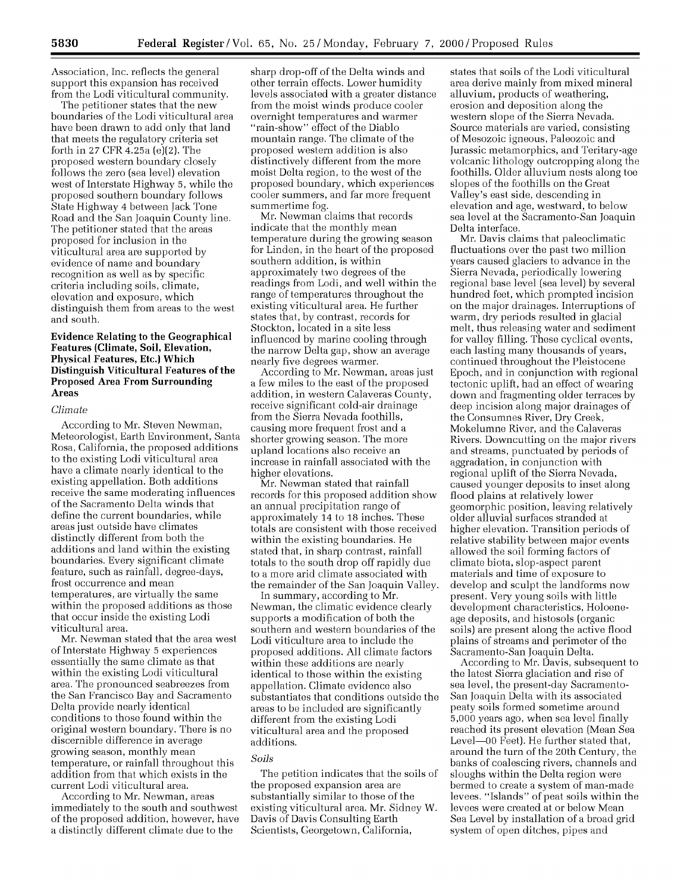Association, Inc. reflects the general support this expansion has received from the Lodi viticultural community.

The petitioner states that the new boundaries of the Lodi viticultural area have been drawn to add only that land that meets the regulatory criteria set forth in 27 CFR 4.25a (e)(2). The proposed western boundary closely follows the zero (sea level) elevation west of Interstate Highway 5, while the proposed southern boundary follows State Highway 4 between Jack Tone Road and the San Joaquin County line. The petitioner stated that the areas proposed for inclusion in the viticultural area are supported by evidence of name and boundary recognition as well as by specific criteria including soils, climate, elevation and exposure, which distinguish them from areas to the west and south.

### Evidence Relating to the Geographical **Features (Climate, Soil, Elevation, Physical Features, Etc.) Which Distinguish Viticultural Features of the Proposed Area From Surrounding Areas**

#### *Climate*

According to Mr. Steven Newman, Meteorologist, Earth Environment, Santa Rosa, California, the proposed additions to the existing Lodi viticultural area have a climate nearly identical to the existing appellation. Both additions receive the same moderating influences of the Sacramento Delta winds that define the current boundaries, while areas just outside have climates distinctly different from both the additions and land within the existing boundaries. Every significant climate feature, such as rainfall, degree-days, frost occurrence and mean temperatures, are virtually the same within the proposed additions as those that occur inside the existing Lodi viticultural area.

Mr. Newman stated that the area west of Interstate Highway 5 experiences essentially the same climate as that within the existing Lodi viticultural area. The pronounced seabreezes from the San Francisco Bay and Sacramento Delta provide nearly identical conditions to those found within the original western boundary. There is no discernible difference in average growing season, monthly mean temperature, or rainfall throughout this addition from that which exists in the current Lodi viticultural area.

According to Mr. Newman, areas immediately to the south and southwest of the proposed addition, however, have a distinctly different climate due to the

sharp drop-off of the Delta winds and other terrain effects. Lower humidity levels associated with a greater distance from the moist winds produce cooler overnight temperatures and warmer "rain-show" effect of the Diablo mountain range. The climate of the proposed western addition is also distinctively different from the more moist Delta region, to the west of the proposed boundary, which experiences cooler summers, and far more frequent summertime fog.

Mr. Newman claims that records indicate that the monthly mean temperature during the growing season for Linden, in the heart of the proposed southern addition, is within approximately two degrees of the readings from Lodi, and well within the range of temperatures throughout the existing viticultural area. He further states that, by contrast, records for Stockton, located in a site less influenced by marine cooling through the narrow Delta gap, show an average nearly five degrees warmer.

According to Mr. Newman, areas just a few miles to the east of the proposed addition, in western Calaveras County, receive significant cold-air drainage from the Sierra Nevada foothills, causing more frequent frost and a shorter growing season. The more upland locations also receive an increase in rainfall associated with the higher elevations.

Mr. Newman stated that rainfall records for this proposed addition show an annual precipitation range of approximately 14 to 18 inches. These totals are consistent with those received within the existing boundaries. He stated that, in sharp contrast, rainfall totals to the south drop off rapidly due to a more arid climate associated with the remainder of the San Joaquin Valley.

In summary, according to Mr. Newman, the climatic evidence clearly supports a modification of both the southern and western boundaries of the Lodi viticulture area to include the proposed additions. All climate factors within these additions are nearly identical to those within the existing appellation. Climate evidence also substantiates that conditions outside the areas to be included are significantly different from the existing Lodi viticultural area and the proposed additions.

#### *Soils*

The petition indicates that the soils of the proposed expansion area are substantially similar to those of the existing viticultural area. Mr. Sidney W. Davis of Davis Consulting Earth Scientists, Georgetown, California,

states that soils of the Lodi viticultural area derive mainly from mixed mineral alluvium, products of weathering, erosion and deposition along the western slope of the Sierra Nevada. Source materials are varied, consisting of Mesozoic igneous, Paleozoic and Jurassic metamorphics, and Teritary-age volcanic lithology outcropping along the foothills. Older alluvium nests along toe slopes of the foothills on the Great Valley's east side, descending in elevation and age, westward, to below sea level at the Sacramento-San Joaquin Delta interface.

Mr. Davis claims that paleoclimatic fluctuations over the past two million years caused glaciers to advance in the Sierra Nevada, periodically lowering regional base level (sea level) by several hundred feet, which prompted incision on the major drainages. Interruptions of warm, dry periods resulted in glacial melt, thus releasing water and sediment for valley filling. These cyclical events, each lasting many thousands of years, continued throughout the Pleistocene Epoch, and in conjunction with regional tectonic uplift, had an effect of wearing down and fragmenting older terraces by deep incision along major drainages of the Consumnes River, Dry Creek, Mokelumne River, and the Calaveras Rivers. Downcutting on the major rivers and streams, punctuated by periods of aggradation, in conjunction with regional uplift of the Sierra Nevada, caused younger deposits to inset along flood plains at relatively lower geomorphic position, leaving relatively older alluvial surfaces stranded at higher elevation. Transition periods of relative stability between major events allowed the soil forming factors of climate biota, slop-aspect parent materials and time of exposure to develop and sculpt the landforms now present. Very young soils with little development characteristics, Holoeneage deposits, and histosols (organic soils) are present along the active flood plains of streams and perimeter of the Sacramento-San Joaquin Delta.

According to Mr. Davis, subsequent to the latest Sierra glaciation and rise of sea level, the present-day Sacramento-San Joaquin Delta with its associated peaty soils formed sometime around 5,000 years ago, when sea level finally reached its present elevation (Mean Sea Level-00 Feet). He further stated that, around the turn of the 20th Century, the banks of coalescing rivers, channels and sloughs within the Delta region were bermed to create a system of man-made levees. "Islands" of peat soils within the levees were created at or below Mean Sea Level by installation of a broad grid system of open ditches, pipes and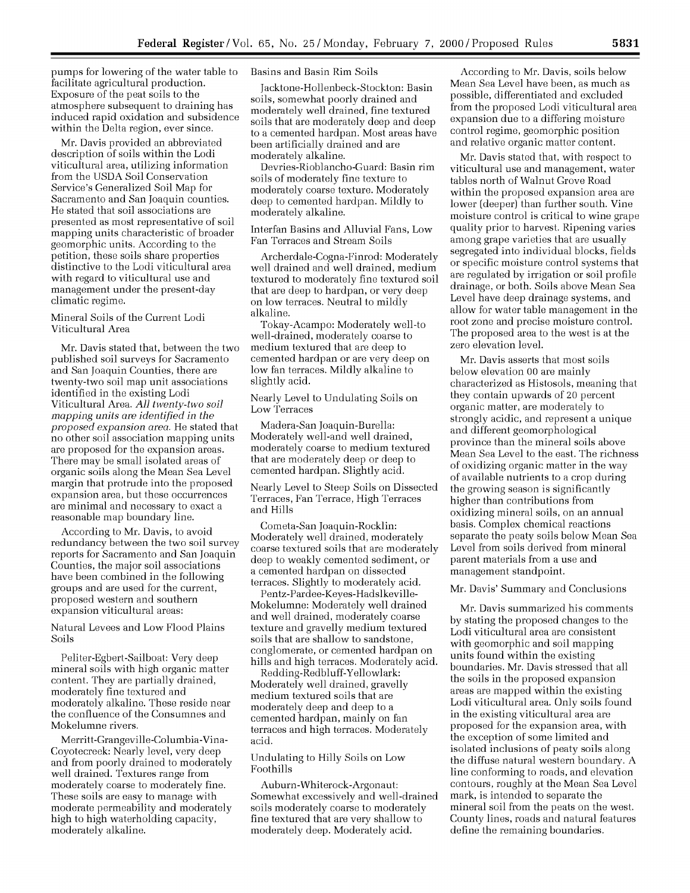pumps for lowering of the water table to facilitate agricultural production. Exposure of the peat soils to the atmosphere subsequent to draining has induced rapid oxidation and subsidence within the Delta region, ever since.

Mr. Davis provided an abbreviated description of soils within the Lodi viticultural area, utilizing information from the USDA Soil Conservation Service's Generalized Soil Map for Sacramento and San Joaquin counties. He stated that soil associations are presented as most representative of soil mapping units characteristic of broader geomorphic units. According to the petition, these soils share properties distinctive to the Lodi viticultural area with regard to viticultural use and management under the present-day climatic regime.

### Mineral Soils of the Current Lodi Viticultural Area

Mr. Davis stated that, between the two published soil surveys for Sacramento and San Joaquin Counties, there are twenty-two soil map unit associations identified in the existing Lodi Viticultural Area. *All twenty-two soil mapping units are identified in the proposed expansion area.* He stated that no other soil association mapping units are proposed for the expansion areas. There may be small isolated areas of organic soils along the Mean Sea Level margin that protrude into the proposed expansion area, but these occurrences are minimal and necessary to exact a reasonable map boundary line.

According to Mr. Davis, to avoid redundancy between the two soil survey reports for Sacramento and San Joaquin Counties, the major soil associations have been combined in the following groups and are used for the current, proposed western and southern expansion viticultural areas:

Natural Levees and Low Flood Plains Soils

Peliter-Egbert-Sailboat: Very deep mineral soils with high organic matter content. They are partially drained, moderately fine textured and moderately alkaline. These reside near the confluence of the Consumnes and Mokelumne rivers.

Merritt-Grangeville-Columbia-Vina-Coyotecreek: Nearly level, very deep and from poorly drained to moderately well drained. Textures range from moderately coarse to moderately fine. These soils are easy to manage with moderate permeability and moderately high to high waterholding capacity, moderately alkaline.

# Basins and Basin Rim Soils

Jacktone-Hollenbeck-Stockton: Basin soils, somewhat poorly drained and moderately well drained, fine textured soils that are moderately deep and deep to a cemented hardpan. Most areas have been artificially drained and are moderately alkaline.

Devries-Rioblancho-Guard: Basin rim soils of moderately fine texture to moderately coarse texture. Moderately deep to cemented hardpan. Mildly to moderately alkaline.

Interfan Basins and Alluvial Fans, Low Fan Terraces and Stream Soils

Archerdale-Cogna-Finrod: Moderately well drained and well drained, medium textured to moderately fine textured soil that are deep to hardpan, or very deep on low terraces. Neutral to mildly alkaline.

Tokay-Acampo: Moderately well-to well-drained, moderately coarse to medium textured that are deep to cemented hardpan or are very deep on low fan terraces. Mildly alkaline to slightly acid.

Nearly Level to Undulating Soils on Low Terraces

Madera-San Joaquin-Burella: Moderately well-and well drained, moderately coarse to medium textured that are moderately deep or deep to cemented hardpan. Slightly acid.

Nearly Level to Steep Soils on Dissected Terraces, Fan Terrace, High Terraces and Hills

Cometa-San Joaquin-Rocklin: Moderately well drained, moderately coarse textured soils that are moderately deep to weakly cemented sediment, or a cemented hardpan on dissected terraces. Slightly to moderately acid.

Pentz-Pardee-Keyes-Hadslkeville-Mokelumne: Moderately well drained and well drained, moderately coarse texture and gravelly medium textured soils that are shallow to sandstone, conglomerate, or cemented hardpan on hills and high terraces. Moderately acid.

Redding-Redbluff-Yellowlark: Moderately well drained, gravelly medium textured soils that are moderately deep and deep to a cemented hardpan, mainly on fan terraces and high terraces. Moderately acid.

### Undulating to Hilly Soils on Low Foothills

Auburn-Whiterock-Argonaut: Somewhat excessively and well-drained soils moderately coarse to moderately fine textured that are very shallow to moderately deep. Moderately acid.

According to Mr. Davis, soils below Mean Sea Level have been, as much as possible, differentiated and excluded from the proposed Lodi viticultural area expansion due to a differing moisture control regime, geomorphic position and relative organic matter content.

Mr. Davis stated that, with respect to viticultural use and management, water tables north of Walnut Grove Road within the proposed expansion area are lower (deeper) than further south. Vine moisture control is critical to wine grape quality prior to harvest. Ripening varies among grape varieties that are usually segregated into individual blocks, fields or specific moisture control systems that are regulated by irrigation or soil profile drainage, or both. Soils above Mean Sea Level have deep drainage systems, and allow for water table management in the root zone and precise moisture control. The proposed area to the west is at the zero elevation level.

Mr. Davis asserts that most soils below elevation 00 are mainly characterized as Histosols, meaning that they contain upwards of 20 percent organic matter, are moderately to strongly acidic, and represent a unique and different geomorphological province than the mineral soils above Mean Sea Level to the east. The richness of oxidizing organic matter in the way of available nutrients to a crop during the growing season is significantly higher than contributions from oxidizing mineral soils, on an annual basis. Complex chemical reactions separate the peaty soils below Mean Sea Level from soils derived from mineral parent materials from a use and management standpoint.

## Mr. Davis' Summary and Conclusions

Mr. Davis summarized his comments by stating the proposed changes to the Lodi viticultural area are consistent with geomorphic and soil mapping units found within the existing boundaries. Mr. Davis stressed that all the soils in the proposed expansion areas are mapped within the existing Lodi viticultural area. Only soils found in the existing viticultural area are proposed for the expansion area, with the exception of some limited and isolated inclusions of peaty soils along the diffuse natural western boundary. A line conforming to roads, and elevation contours, roughly at the Mean Sea Level mark, is intended to separate the mineral soil from the peats on the west. County lines, roads and natural features define the remaining boundaries.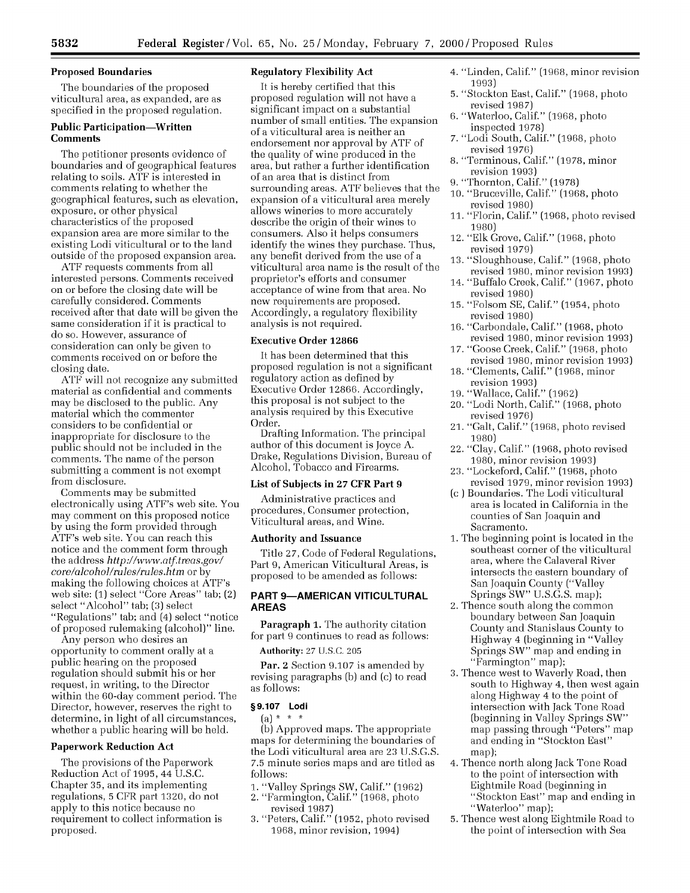# **Proposed Boundaries**

The boundaries of the proposed viticultural area, as expanded, are as specified in the proposed regulation.

## **Public Participation-Written Comments**

The petitioner presents evidence of boundaries and of geographical features relating to soils. ATF is interested in comments relating to whether the geographical features, such as elevation, exposure, or other physical characteristics of the proposed expansion area are more similar to the existing Lodi viticultural or to the land outside of the proposed expansion area.

ATF requests comments from all interested persons. Comments received on or before the closing date will be carefully considered. Comments received after that date will be given the same consideration if it is practical to do so. However, assurance of consideration can only be given to comments received on or before the closing date.

ATF will not recognize any submitted material as confidential and comments may be disclosed to the public. Any material which the commenter considers to be confidential or inappropriate for disclosure to the public should not be included in the comments. The name of the person submitting a comment is not exempt from disclosure.

Comments may be submitted electronically using ATF's web site. You may comment on this proposed notice by using the form provided through ATF's web site. You can reach this notice and the comment form through the address *http://www.atf.treas.govl core/alcohol/mles/rules.htm* or by making the following choices at ATF's web site: (1) select "Core Areas" tab; (2) select "Alcohol" tab; (3) select "Regulations" tab; and (4) select "notice of proposed rulemaking (alcohol)" line.

Any person who desires an opportunity to comment orally at a public hearing on the proposed regulation should submit his or her request, in writing, to the Director within the 60-day comment period. The Director, however, reserves the right to determine, in light of all circumstances, whether a public hearing will be held.

## **Paperwork Reduction Act**

The provisions of the Paperwork Reduction Act of 1995, 44 U.S.C. Chapter 35, and its implementing regulations, 5 CFR part 1320, do not apply to this notice because no requirement to collect information is proposed.

# **Regulatory Flexibility Act**

It is hereby certified that this proposed regulation will not have a significant impact on a substantial number of small entities. The expansion of a viticultural area is neither an endorsement nor approval by ATF of the quality of wine produced in the area, but rather a further identification of an area that is distinct from surrounding areas. ATF believes that the expansion of a viticultural area merely allows wineries to more accurately describe the origin of their wines to consumers. Also it helps consumers identify the wines they purchase. Thus, any benefit derived from the use of a viticultural area name is the result of the proprietor's efforts and consumer acceptance of wine from that area. No new requirements are proposed. Accordingly, a regulatory flexibility analysis is not required.

### **Executive Order 12866**

It has been determined that this proposed regulation is not a significant regulatory action as defined by Executive Order 12866. Accordingly, this proposal is not subject to the analysis required by this Executive Order.

Drafting Information. The principal author of this document is Joyce A. Drake, Regulations Division, Bureau of Alcohol, Tobacco and Firearms.

#### **List of Subjects in 27 CFR Part 9**

Administrative practices and procedures, Consumer protection, Viticultural areas, and Wine.

#### **Authority and Issuance**

Title 27, Code of Federal Regulations, Part 9, American Viticultural Areas, is proposed to be amended as follows:

# **PART 9-AMERICAN VITICULTURAL AREAS**

Paragraph **1.** The authority citation for part 9 continues to read as follows:

Authority: 27 U.S.C. 205

Par. 2 Section 9.107 is amended by revising paragraphs (b) and (c) to read as follows:

# **§9.107 Lodi**

 $(a) * * * *$ 

(b) Approved maps. The appropriate maps for determining the boundaries of the Lodi viticultural area are 23 U.S.G.S. 7.5 minute series maps and are titled as follows:

- 1. "Valley Springs SW, Calif." (1962)
- 2. "Farmington, Calif." (1968, photo
- revised 1987) 3. "Peters, Calif." (1952, photo revised
- 1968, minor revision, 1994)
- 4. "Linden, Calif." (1968, minor revision 1993)
- 5. "Stockton East, Calif." (1968, photo revised 1987)
- 6. "Waterloo, Calif." (1968, photo inspected 1978)
- 7. "Lodi South, Calif." (1968, photo revised 1976)
- 8. "Terminous, Calif." (1978, minor revision 1993)
- 9. "Thornton, Calif." (1978)
- 10. "Bruceville, Calif." (1968, photo revised 1980)
- 11. "Florin, Calif." (1968, photo revised 1980)
- 12. "Elk Grove, Calif." (1968, photo revised 1979)
- 13. "Sloughhouse, Calif." (1968, photo revised 1980, minor revision 1993)
- 14. "Buffalo Creek, Calif." (1967, photo revised 1980)
- 15. "Folsom SE, Calif." (1954, photo revised 1980)
- 16. "Carbondale, Calif." (1968, photo revised 1980, minor revision 1993)
- 17. "Goose Creek, Calif." (1968, photo revised 1980, minor revision 1993)
- 18. "Clements, Calif." (1968, minor revision 1993)
- 19. "Wallace, Calif." (1962)
- 20. "Lodi North, Calif." (1968, photo revised 1976)
- 21. "Galt, Calif." (1968, photo revised 1980)
- 22. "Clay, Calif." (1968, photo revised 1980, minor revision 1993)
- 23. "Lockeford, Calif." (1968, photo revised 1979, minor revision 1993)
- (c ) Boundaries. The Lodi viticultural area is located in California in the counties of San Joaquin and Sacramento.
- 1. The beginning point is located in the southeast corner of the viticultural area, where the Calaveral River intersects the eastern boundary of San Joaquin County ("Valley Springs SW" U.S.G.S. map);
- 2. Thence south along the common boundary between San Joaquin County and Stanislaus County to Highway 4 (beginning in "Valley Springs SW" map and ending in "Farmington" map);
- 3. Thence west to Waverly Road, then south to Highway 4, then west again along Highway 4 to the point of intersection with Jack Tone Road (beginning in Valley Springs SW" map passing through "Peters" map and ending in "Stockton East" map);
- 4. Thence north along Jack Tone Road to the point of intersection with Eightmile Road (beginning in "Stockton East" map and ending in "Waterloo" map);
- 5. Thence west along Eightmile Road to the point of intersection with Sea